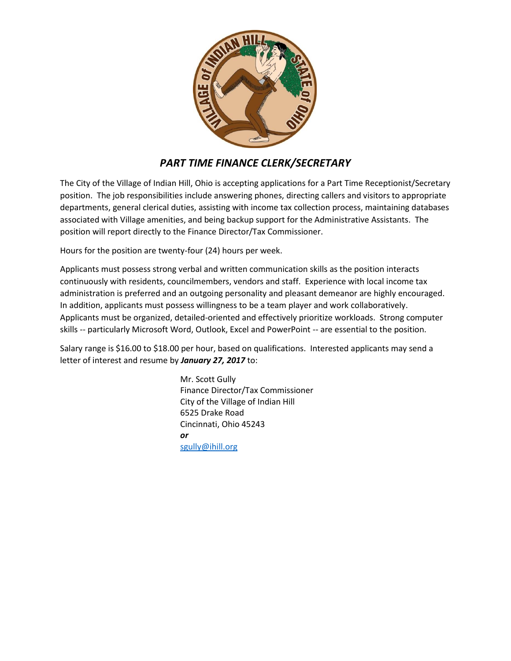

# *PART TIME FINANCE CLERK/SECRETARY*

The City of the Village of Indian Hill, Ohio is accepting applications for a Part Time Receptionist/Secretary position. The job responsibilities include answering phones, directing callers and visitors to appropriate departments, general clerical duties, assisting with income tax collection process, maintaining databases associated with Village amenities, and being backup support for the Administrative Assistants. The position will report directly to the Finance Director/Tax Commissioner.

Hours for the position are twenty-four (24) hours per week.

Applicants must possess strong verbal and written communication skills as the position interacts continuously with residents, councilmembers, vendors and staff. Experience with local income tax administration is preferred and an outgoing personality and pleasant demeanor are highly encouraged. In addition, applicants must possess willingness to be a team player and work collaboratively. Applicants must be organized, detailed-oriented and effectively prioritize workloads. Strong computer skills -- particularly Microsoft Word, Outlook, Excel and PowerPoint -- are essential to the position.

Salary range is \$16.00 to \$18.00 per hour, based on qualifications. Interested applicants may send a letter of interest and resume by *January 27, 2017* to:

> Mr. Scott Gully Finance Director/Tax Commissioner City of the Village of Indian Hill 6525 Drake Road Cincinnati, Ohio 45243 *or* [sgully@ihill.org](mailto:sgully@ihill.org)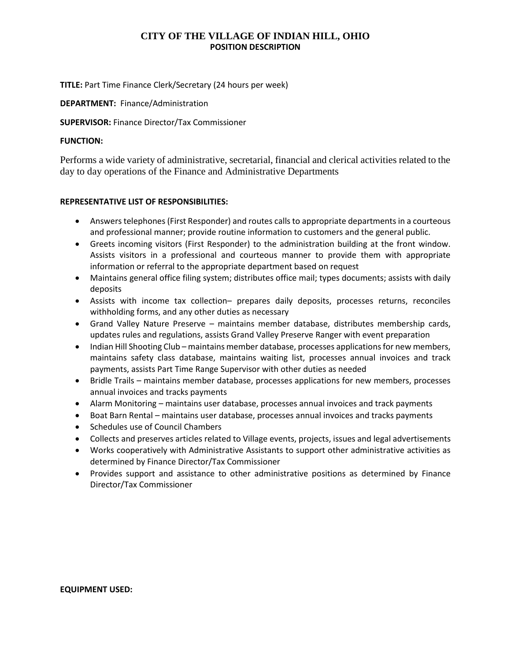## **CITY OF THE VILLAGE OF INDIAN HILL, OHIO POSITION DESCRIPTION**

**TITLE:** Part Time Finance Clerk/Secretary (24 hours per week)

### **DEPARTMENT:** Finance/Administration

### **SUPERVISOR:** Finance Director/Tax Commissioner

### **FUNCTION:**

Performs a wide variety of administrative, secretarial, financial and clerical activities related to the day to day operations of the Finance and Administrative Departments

## **REPRESENTATIVE LIST OF RESPONSIBILITIES:**

- Answers telephones (First Responder) and routes calls to appropriate departments in a courteous and professional manner; provide routine information to customers and the general public.
- Greets incoming visitors (First Responder) to the administration building at the front window. Assists visitors in a professional and courteous manner to provide them with appropriate information or referral to the appropriate department based on request
- Maintains general office filing system; distributes office mail; types documents; assists with daily deposits
- Assists with income tax collection– prepares daily deposits, processes returns, reconciles withholding forms, and any other duties as necessary
- Grand Valley Nature Preserve maintains member database, distributes membership cards, updates rules and regulations, assists Grand Valley Preserve Ranger with event preparation
- Indian Hill Shooting Club maintains member database, processes applications for new members, maintains safety class database, maintains waiting list, processes annual invoices and track payments, assists Part Time Range Supervisor with other duties as needed
- Bridle Trails maintains member database, processes applications for new members, processes annual invoices and tracks payments
- Alarm Monitoring maintains user database, processes annual invoices and track payments
- Boat Barn Rental maintains user database, processes annual invoices and tracks payments
- Schedules use of Council Chambers
- Collects and preserves articles related to Village events, projects, issues and legal advertisements
- Works cooperatively with Administrative Assistants to support other administrative activities as determined by Finance Director/Tax Commissioner
- Provides support and assistance to other administrative positions as determined by Finance Director/Tax Commissioner

#### **EQUIPMENT USED:**